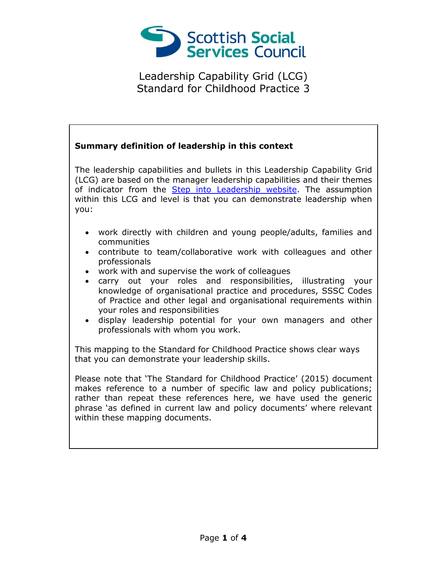

## **Summary definition of leadership in this context**

The leadership capabilities and bullets in this Leadership Capability Grid (LCG) are based on the manager leadership capabilities and their themes of indicator from the [Step into Leadership website.](http://www.stepintoleadership.info/) The assumption within this LCG and level is that you can demonstrate leadership when you:

- work directly with children and young people/adults, families and communities
- contribute to team/collaborative work with colleagues and other professionals
- work with and supervise the work of colleagues
- carry out your roles and responsibilities, illustrating your knowledge of organisational practice and procedures, SSSC Codes of Practice and other legal and organisational requirements within your roles and responsibilities
- display leadership potential for your own managers and other professionals with whom you work.

This mapping to the Standard for Childhood Practice shows clear ways that you can demonstrate your leadership skills.

Please note that 'The Standard for Childhood Practice' (2015) document makes reference to a number of specific law and policy publications; rather than repeat these references here, we have used the generic phrase 'as defined in current law and policy documents' where relevant within these mapping documents.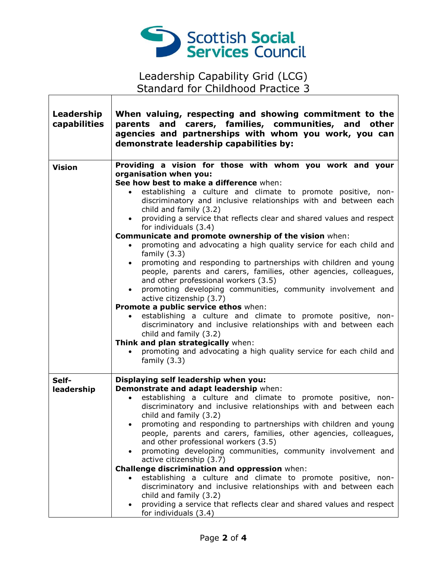

 $\sqrt{ }$ 

| Leadership<br>capabilities | When valuing, respecting and showing commitment to the<br>parents and carers, families, communities, and other<br>agencies and partnerships with whom you work, you can<br>demonstrate leadership capabilities by:                                                                                                                                                                                                                                                                                                                                                                                                                                                                                                                                                                                                                                                                                                                                                                                                                                                                                                                                                                                                              |
|----------------------------|---------------------------------------------------------------------------------------------------------------------------------------------------------------------------------------------------------------------------------------------------------------------------------------------------------------------------------------------------------------------------------------------------------------------------------------------------------------------------------------------------------------------------------------------------------------------------------------------------------------------------------------------------------------------------------------------------------------------------------------------------------------------------------------------------------------------------------------------------------------------------------------------------------------------------------------------------------------------------------------------------------------------------------------------------------------------------------------------------------------------------------------------------------------------------------------------------------------------------------|
| <b>Vision</b>              | Providing a vision for those with whom you work and your<br>organisation when you:<br>See how best to make a difference when:<br>establishing a culture and climate to promote positive, non-<br>$\bullet$<br>discriminatory and inclusive relationships with and between each<br>child and family (3.2)<br>providing a service that reflects clear and shared values and respect<br>$\bullet$<br>for individuals (3.4)<br>Communicate and promote ownership of the vision when:<br>promoting and advocating a high quality service for each child and<br>$\bullet$<br>family $(3.3)$<br>promoting and responding to partnerships with children and young<br>$\bullet$<br>people, parents and carers, families, other agencies, colleagues,<br>and other professional workers (3.5)<br>promoting developing communities, community involvement and<br>$\bullet$<br>active citizenship (3.7)<br>Promote a public service ethos when:<br>establishing a culture and climate to promote positive, non-<br>discriminatory and inclusive relationships with and between each<br>child and family (3.2)<br>Think and plan strategically when:<br>promoting and advocating a high quality service for each child and<br>family $(3.3)$ |
| Self-<br>leadership        | Displaying self leadership when you:<br>Demonstrate and adapt leadership when:<br>establishing a culture and climate to promote positive, non-<br>$\bullet$<br>discriminatory and inclusive relationships with and between each<br>child and family (3.2)<br>promoting and responding to partnerships with children and young<br>$\bullet$<br>people, parents and carers, families, other agencies, colleagues,<br>and other professional workers (3.5)<br>promoting developing communities, community involvement and<br>active citizenship (3.7)<br>Challenge discrimination and oppression when:<br>establishing a culture and climate to promote positive, non-<br>discriminatory and inclusive relationships with and between each<br>child and family (3.2)<br>providing a service that reflects clear and shared values and respect<br>for individuals (3.4)                                                                                                                                                                                                                                                                                                                                                             |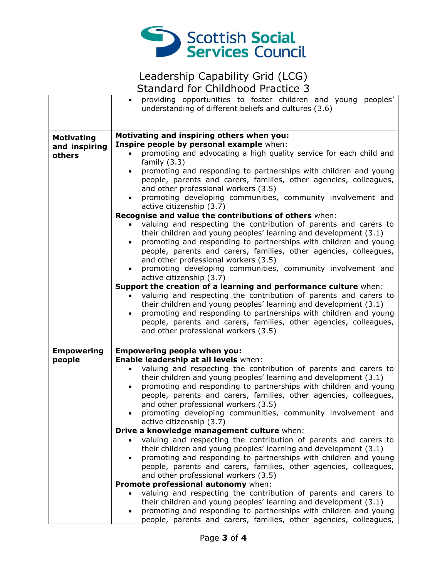

|                                              | providing opportunities to foster children and young peoples'<br>understanding of different beliefs and cultures (3.6)                                                                                                                                                                                                                                                                                                                                                                                                                                                                                                                                                                                                                                                                                                                                                                                                                                                                                                                                                                                                                                                                                                                                                                                                                                                                  |
|----------------------------------------------|-----------------------------------------------------------------------------------------------------------------------------------------------------------------------------------------------------------------------------------------------------------------------------------------------------------------------------------------------------------------------------------------------------------------------------------------------------------------------------------------------------------------------------------------------------------------------------------------------------------------------------------------------------------------------------------------------------------------------------------------------------------------------------------------------------------------------------------------------------------------------------------------------------------------------------------------------------------------------------------------------------------------------------------------------------------------------------------------------------------------------------------------------------------------------------------------------------------------------------------------------------------------------------------------------------------------------------------------------------------------------------------------|
| <b>Motivating</b><br>and inspiring<br>others | Motivating and inspiring others when you:<br>Inspire people by personal example when:<br>promoting and advocating a high quality service for each child and<br>family $(3.3)$<br>promoting and responding to partnerships with children and young<br>$\bullet$<br>people, parents and carers, families, other agencies, colleagues,<br>and other professional workers (3.5)<br>promoting developing communities, community involvement and<br>active citizenship (3.7)<br>Recognise and value the contributions of others when:<br>valuing and respecting the contribution of parents and carers to<br>their children and young peoples' learning and development (3.1)<br>promoting and responding to partnerships with children and young<br>$\bullet$<br>people, parents and carers, families, other agencies, colleagues,<br>and other professional workers (3.5)<br>promoting developing communities, community involvement and<br>$\bullet$<br>active citizenship (3.7)<br>Support the creation of a learning and performance culture when:<br>valuing and respecting the contribution of parents and carers to<br>their children and young peoples' learning and development (3.1)<br>promoting and responding to partnerships with children and young<br>$\bullet$<br>people, parents and carers, families, other agencies, colleagues,<br>and other professional workers (3.5) |
| <b>Empowering</b><br>people                  | <b>Empowering people when you:</b><br>Enable leadership at all levels when:<br>valuing and respecting the contribution of parents and carers to<br>their children and young peoples' learning and development (3.1)<br>promoting and responding to partnerships with children and young<br>$\bullet$<br>people, parents and carers, families, other agencies, colleagues,<br>and other professional workers (3.5)<br>promoting developing communities, community involvement and<br>active citizenship (3.7)<br>Drive a knowledge management culture when:<br>valuing and respecting the contribution of parents and carers to<br>their children and young peoples' learning and development (3.1)<br>promoting and responding to partnerships with children and young<br>$\bullet$<br>people, parents and carers, families, other agencies, colleagues,<br>and other professional workers (3.5)<br>Promote professional autonomy when:<br>valuing and respecting the contribution of parents and carers to<br>their children and young peoples' learning and development (3.1)<br>promoting and responding to partnerships with children and young<br>people, parents and carers, families, other agencies, colleagues,                                                                                                                                                                |